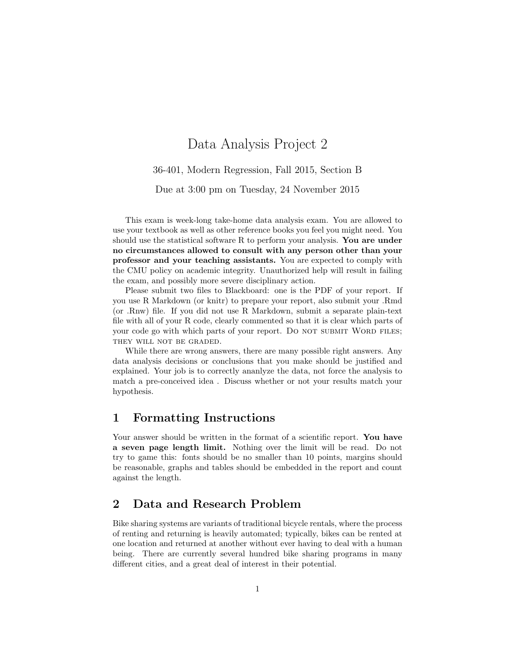# Data Analysis Project 2

36-401, Modern Regression, Fall 2015, Section B

Due at 3:00 pm on Tuesday, 24 November 2015

This exam is week-long take-home data analysis exam. You are allowed to use your textbook as well as other reference books you feel you might need. You should use the statistical software R to perform your analysis. You are under no circumstances allowed to consult with any person other than your professor and your teaching assistants. You are expected to comply with the CMU policy on academic integrity. Unauthorized help will result in failing the exam, and possibly more severe disciplinary action.

Please submit two files to Blackboard: one is the PDF of your report. If you use R Markdown (or knitr) to prepare your report, also submit your .Rmd (or .Rnw) file. If you did not use R Markdown, submit a separate plain-text file with all of your R code, clearly commented so that it is clear which parts of your code go with which parts of your report. Do NOT SUBMIT WORD FILES; THEY WILL NOT BE GRADED.

While there are wrong answers, there are many possible right answers. Any data analysis decisions or conclusions that you make should be justified and explained. Your job is to correctly ananlyze the data, not force the analysis to match a pre-conceived idea . Discuss whether or not your results match your hypothesis.

### 1 Formatting Instructions

Your answer should be written in the format of a scientific report. You have a seven page length limit. Nothing over the limit will be read. Do not try to game this: fonts should be no smaller than 10 points, margins should be reasonable, graphs and tables should be embedded in the report and count against the length.

### 2 Data and Research Problem

Bike sharing systems are variants of traditional bicycle rentals, where the process of renting and returning is heavily automated; typically, bikes can be rented at one location and returned at another without ever having to deal with a human being. There are currently several hundred bike sharing programs in many different cities, and a great deal of interest in their potential.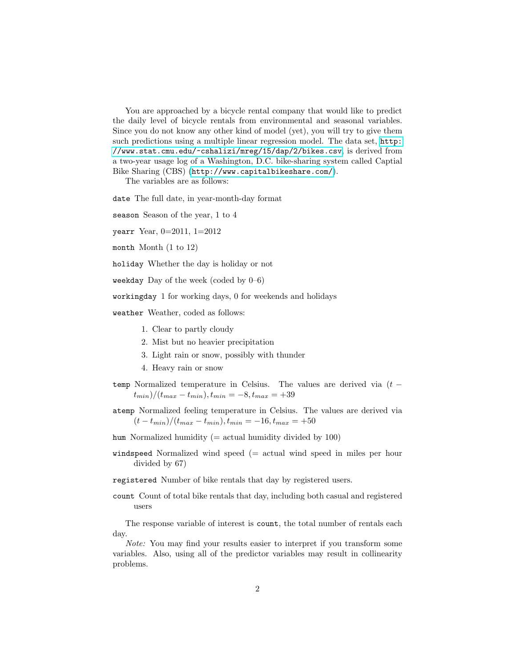You are approached by a bicycle rental company that would like to predict the daily level of bicycle rentals from environmental and seasonal variables. Since you do not know any other kind of model (yet), you will try to give them such predictions using a multiple linear regression model. The data set, [http:](http://www.stat.cmu.edu/~cshalizi/mreg/15/dap/2/bikes.csv) [//www.stat.cmu.edu/~cshalizi/mreg/15/dap/2/bikes.csv](http://www.stat.cmu.edu/~cshalizi/mreg/15/dap/2/bikes.csv), is derived from a two-year usage log of a Washington, D.C. bike-sharing system called Captial Bike Sharing (CBS) (<http://www.capitalbikeshare.com/>).

The variables are as follows:

date The full date, in year-month-day format

season Season of the year, 1 to 4

yearr Year, 0=2011, 1=2012

month Month  $(1 to 12)$ 

holiday Whether the day is holiday or not

weekday Day of the week (coded by  $0-6$ )

workingday 1 for working days, 0 for weekends and holidays

weather Weather, coded as follows:

- 1. Clear to partly cloudy
- 2. Mist but no heavier precipitation
- 3. Light rain or snow, possibly with thunder
- 4. Heavy rain or snow
- temp Normalized temperature in Celsius. The values are derived via  $(t (t_{min})/(t_{max} - t_{min}), t_{min} = -8, t_{max} = +39$
- atemp Normalized feeling temperature in Celsius. The values are derived via  $(t - t_{min})/(t_{max} - t_{min}), t_{min} = -16, t_{max} = +50$
- hum Normalized humidity ( $=$  actual humidity divided by 100)
- windspeed Normalized wind speed (= actual wind speed in miles per hour divided by 67)
- registered Number of bike rentals that day by registered users.
- count Count of total bike rentals that day, including both casual and registered users

The response variable of interest is count, the total number of rentals each day.

Note: You may find your results easier to interpret if you transform some variables. Also, using all of the predictor variables may result in collinearity problems.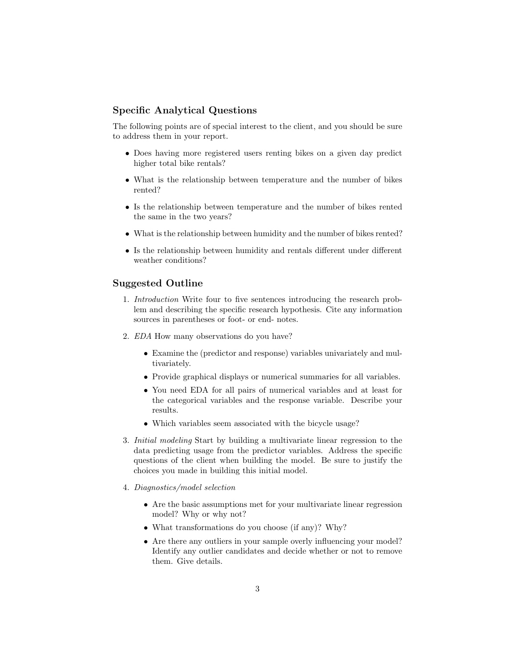#### Specific Analytical Questions

The following points are of special interest to the client, and you should be sure to address them in your report.

- Does having more registered users renting bikes on a given day predict higher total bike rentals?
- What is the relationship between temperature and the number of bikes rented?
- Is the relationship between temperature and the number of bikes rented the same in the two years?
- What is the relationship between humidity and the number of bikes rented?
- Is the relationship between humidity and rentals different under different weather conditions?

#### Suggested Outline

- 1. Introduction Write four to five sentences introducing the research problem and describing the specific research hypothesis. Cite any information sources in parentheses or foot- or end- notes.
- 2. EDA How many observations do you have?
	- Examine the (predictor and response) variables univariately and multivariately.
	- Provide graphical displays or numerical summaries for all variables.
	- You need EDA for all pairs of numerical variables and at least for the categorical variables and the response variable. Describe your results.
	- Which variables seem associated with the bicycle usage?
- 3. Initial modeling Start by building a multivariate linear regression to the data predicting usage from the predictor variables. Address the specific questions of the client when building the model. Be sure to justify the choices you made in building this initial model.
- 4. Diagnostics/model selection
	- Are the basic assumptions met for your multivariate linear regression model? Why or why not?
	- What transformations do you choose (if any)? Why?
	- Are there any outliers in your sample overly influencing your model? Identify any outlier candidates and decide whether or not to remove them. Give details.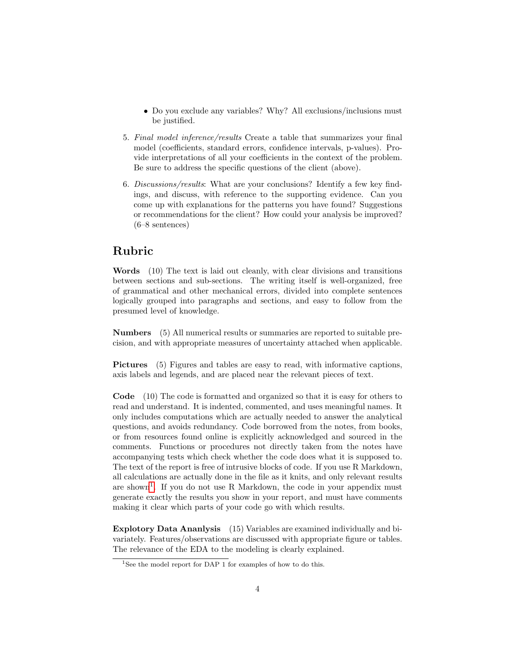- Do you exclude any variables? Why? All exclusions/inclusions must be justified.
- 5. Final model inference/results Create a table that summarizes your final model (coefficients, standard errors, confidence intervals, p-values). Provide interpretations of all your coefficients in the context of the problem. Be sure to address the specific questions of the client (above).
- 6. Discussions/results: What are your conclusions? Identify a few key findings, and discuss, with reference to the supporting evidence. Can you come up with explanations for the patterns you have found? Suggestions or recommendations for the client? How could your analysis be improved? (6–8 sentences)

### Rubric

Words (10) The text is laid out cleanly, with clear divisions and transitions between sections and sub-sections. The writing itself is well-organized, free of grammatical and other mechanical errors, divided into complete sentences logically grouped into paragraphs and sections, and easy to follow from the presumed level of knowledge.

Numbers (5) All numerical results or summaries are reported to suitable precision, and with appropriate measures of uncertainty attached when applicable.

Pictures (5) Figures and tables are easy to read, with informative captions, axis labels and legends, and are placed near the relevant pieces of text.

Code (10) The code is formatted and organized so that it is easy for others to read and understand. It is indented, commented, and uses meaningful names. It only includes computations which are actually needed to answer the analytical questions, and avoids redundancy. Code borrowed from the notes, from books, or from resources found online is explicitly acknowledged and sourced in the comments. Functions or procedures not directly taken from the notes have accompanying tests which check whether the code does what it is supposed to. The text of the report is free of intrusive blocks of code. If you use R Markdown, all calculations are actually done in the file as it knits, and only relevant results are shown<sup>[1](#page-3-0)</sup>. If you do not use R Markdown, the code in your appendix must generate exactly the results you show in your report, and must have comments making it clear which parts of your code go with which results.

Explotory Data Ananlysis (15) Variables are examined individually and bivariately. Features/observations are discussed with appropriate figure or tables. The relevance of the EDA to the modeling is clearly explained.

<span id="page-3-0"></span><sup>&</sup>lt;sup>1</sup>See the model report for DAP 1 for examples of how to do this.